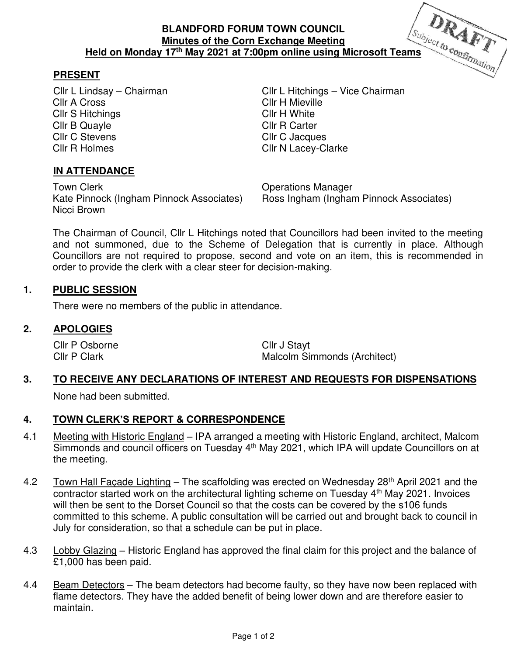## **PRESENT**

Cllr A Cross Cllr H Mieville Cllr S Hitchings Cllr H White Cllr B Quayle Cllr R Carter<br>Cllr C Stevens Cllr C Jacque Cllr R Holmes Cllr N Lacey-Clarke

Cllr L Lindsay – Chairman Cllr L Hitchings – Vice Chairman Cllr C Jacques

## **IN ATTENDANCE**

Town Clerk **Town Clear Clerk** Clear Contract Clear Clear Clear Contract Clear Clear Clear Clear Clear Clear Clear Kate Pinnock (Ingham Pinnock Associates) Ross Ingham (Ingham Pinnock Associates) Nicci Brown

The Chairman of Council, Cllr L Hitchings noted that Councillors had been invited to the meeting and not summoned, due to the Scheme of Delegation that is currently in place. Although Councillors are not required to propose, second and vote on an item, this is recommended in order to provide the clerk with a clear steer for decision-making.

### **1. PUBLIC SESSION**

There were no members of the public in attendance.

#### **2. APOLOGIES**

Cllr P Osborne Cllr J Stayt

Cllr P Clark Clark Malcolm Simmonds (Architect)

## **3. TO RECEIVE ANY DECLARATIONS OF INTEREST AND REQUESTS FOR DISPENSATIONS**

None had been submitted.

# **4. TOWN CLERK'S REPORT & CORRESPONDENCE**

- 4.1 Meeting with Historic England IPA arranged a meeting with Historic England, architect, Malcom Simmonds and council officers on Tuesday 4<sup>th</sup> May 2021, which IPA will update Councillors on at the meeting.
- 4.2 Town Hall Facade Lighting The scaffolding was erected on Wednesday 28<sup>th</sup> April 2021 and the contractor started work on the architectural lighting scheme on Tuesday 4<sup>th</sup> May 2021. Invoices will then be sent to the Dorset Council so that the costs can be covered by the s106 funds committed to this scheme. A public consultation will be carried out and brought back to council in July for consideration, so that a schedule can be put in place.
- 4.3 Lobby Glazing Historic England has approved the final claim for this project and the balance of £1,000 has been paid.
- 4.4 Beam Detectors The beam detectors had become faulty, so they have now been replaced with flame detectors. They have the added benefit of being lower down and are therefore easier to maintain.